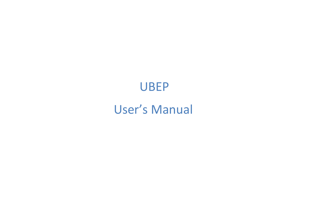# UBEP

## User's Manual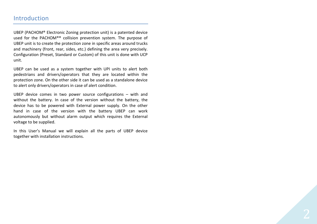## Introduction

UBEP (PACHOM® Electronic Zoning protection unit) is a patented device used for the PACHOM®® collision prevention system. The purpose of UBEP unit is to create the protection zone in specific areas around trucks and machinery (front, rear, sides, etc.) defining the area very precisely. Configuration (Preset, Standard or Custom) of this unit is done with UCP unit.

UBEP can be used as a system together with UPI units to alert both pedestrians and drivers/operators that they are located within the protection zone. On the other side it can be used as a standalone device to alert only drivers/operators in case of alert condition.

UBEP device comes in two power source configurations – with and without the battery. In case of the version without the battery, the device has to be powered with External power supply. On the other hand in case of the version with the battery UBEP can work autonomously but without alarm output which requires the External voltage to be supplied.

In this User's Manual we will explain all the parts of UBEP device together with installation instructions.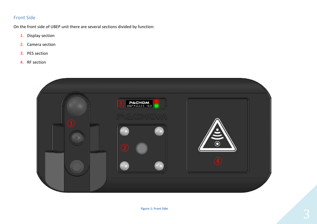## Front Side

On the front side of UBEP unit there are several sections divided by function:

- 1. Display section
- 2. Camera section
- 3. PES section
- 4. RF section

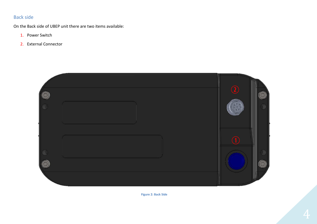## Back side

On the Back side of UBEP unit there are two items available:

- 1. Power Switch
- 2. External Connector



**Figure 2: Back Side**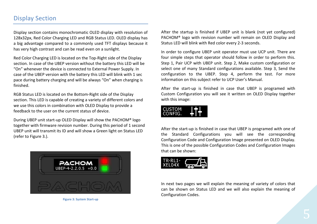## Display Section

Display section contains monochromatic OLED display with resolution of 128x32px, Red Color Charging LED and RGB Status LED. OLED display has a big advantage compared to a commonly used TFT displays because it has very high contrast and can be read even on a sunlight.

Red Color Charging LED is located on the Top-Right side of the Display section. In case of the UBEP version without the battery this LED will be "On" whenever the device is connected to External Power Supply. In case of the UBEP version with the battery this LED will blink with 1 sec pace during battery charging and will be always "On" when charging is finished.

RGB Status LED is located on the Bottom-Right side of the Display section. This LED is capable of creating a variety of different colors and we use this colors in combination with OLED Display to provide a feedback to the user on the current status of device.

During UBEP unit start-up OLED Display will show the PACHOM® logo together with firmware revision number. During this period of 1 second UBEP unit will transmit its ID and will show a Green light on Status LED (refer to Figure 3.).



**Figure 3: System Start-up** 

After the startup is finished if UBEP unit is blank (not yet configured) PACHOM® logo with revision number will remain on OLED Display and Status LED will blink with Red color every 2-3 seconds.

In order to configure UBEP unit operator must use UCP unit. There are four simple steps that operator should follow in order to perform this. Step 1, Pair UCP with UBEP unit. Step 2, Make custom configuration or select one of many Standard configurations available. Step 3, Send the configuration to the UBEP. Step 4, perform the test. For more information on this subject refer to UCP User's Manual.

After the start-up is finished in case that UBEP is programed with Custom Configuration you will see it written on OLED Display together with this image:

## CUSTOM ONFIG.

After the start-up is finished in case that UBEP is programed with one of the Standard Configurations you will see the corresponding Configuration Code and Configuration Image presented on OLED Display. This is one of the possible Configuration Codes and Configuration Images that can be shown:



In next two pages we will explain the meaning of variety of colors that can be shown on Status LED and we will also explain the meaning of Configuration Codes.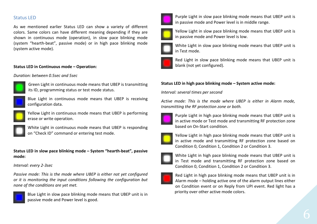## Status LED

As we mentioned earlier Status LED can show a variety of different colors. Same colors can have different meaning depending if they are shown in continuous mode (operation), in slow pace blinking mode (system "hearth-beat", passive mode) or in high pace blinking mode (system active mode).

#### **Status LED in Continuous mode – Operation:**

#### *Duration: between 0.5sec and 5sec*



Green Light in continuous mode means that UBEP is transmitting its ID, programming status or test mode status.



Blue Light in continuous mode means that UBEP is receiving configuration data.



Yellow Light in continuous mode means that UBEP is performing erase or write operation.



White Light in continuous mode means that UBEP is responding on "Check ID" command or entering test mode.

#### **Status LED in slow pace blinking mode – System "hearth-beat", passive mode:**

#### *Interval: every 2-3sec*

*Passive mode: This is the mode where UBEP is either not yet configured or it is monitoring the input conditions following the configuration but none of the conditions are yet met.* 



Blue Light in slow pace blinking mode means that UBEP unit is in passive mode and Power level is good.



Purple Light in slow pace blinking mode means that UBEP unit is in passive mode and Power level is in middle range.



Yellow Light in slow pace blinking mode means that UBEP unit is in passive mode and Power level is low.



White Light in slow pace blinking mode means that UBEP unit is in Test mode.



Red Light in slow pace blinking mode means that UBEP unit is blank (not yet configured).

#### **Status LED in high pace blinking mode – System active mode:**

*Interval: several times per second* 

*Active mode: This is the mode where UBEP is either in Alarm mode, transmitting the RF protection zone or both.* 



Purple Light in high pace blinking mode means that UBEP unit is in active mode or Test mode and transmitting RF protection zone based on On-Start condition.



Yellow Light in high pace blinking mode means that UBEP unit is in active mode and transmitting RF protection zone based on Condition 0, Condition 1, Condition 2 or Condition 3.



White Light in high pace blinking mode means that UBEP unit is in Test mode and transmitting RF protection zone based on Condition 0, Condition 1, Condition 2 or Condition 3.



Red Light in high pace blinking mode means that UBEP unit is in Alarm mode – holding active one of the alarm output lines either on Condition event or on Reply from UPI event. Red light has a priority over other active mode colors.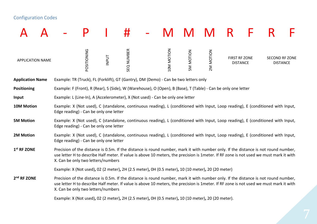## Configuration Codes

|                         |  |                                                                                                                                                                                                                                                                                                                    |             |              | #          |  |                   |                  |           |                                  |  |  |                                          |
|-------------------------|--|--------------------------------------------------------------------------------------------------------------------------------------------------------------------------------------------------------------------------------------------------------------------------------------------------------------------|-------------|--------------|------------|--|-------------------|------------------|-----------|----------------------------------|--|--|------------------------------------------|
| <b>APPLICATION NAME</b> |  |                                                                                                                                                                                                                                                                                                                    | POSITIONING | <b>INPUT</b> | SEQ NUMBER |  | <b>10M MOTION</b> | <b>SM MOTION</b> | 2M MOTION | FIRST RF ZONE<br><b>DISTANCE</b> |  |  | <b>SECOND RF ZONE</b><br><b>DISTANCE</b> |
| <b>Application Name</b> |  | Example: TR (Truck), FL (Forklift), GT (Gantry), DM (Demo) - Can be two letters only                                                                                                                                                                                                                               |             |              |            |  |                   |                  |           |                                  |  |  |                                          |
| <b>Positioning</b>      |  | Example: F (Front), R (Rear), S (Side), W (Warehouse), O (Open), B (Base), T (Table) - Can be only one letter                                                                                                                                                                                                      |             |              |            |  |                   |                  |           |                                  |  |  |                                          |
| Input                   |  | Example: L (Line-In), A (Accelerometer), X (Not used) - Can be only one letter                                                                                                                                                                                                                                     |             |              |            |  |                   |                  |           |                                  |  |  |                                          |
| 10M Motion              |  | Example: X (Not used), C (standalone, continuous reading), L (conditioned with Input, Loop reading), E (conditioned with Input,<br>Edge reading) - Can be only one letter                                                                                                                                          |             |              |            |  |                   |                  |           |                                  |  |  |                                          |
| <b>5M Motion</b>        |  | Example: X (Not used), C (standalone, continuous reading), L (conditioned with Input, Loop reading), E (conditioned with Input,<br>Edge reading) - Can be only one letter                                                                                                                                          |             |              |            |  |                   |                  |           |                                  |  |  |                                          |
| 2M Motion               |  | Example: X (Not used), C (standalone, continuous reading), L (conditioned with Input, Loop reading), E (conditioned with Input,<br>Edge reading) - Can be only one letter                                                                                                                                          |             |              |            |  |                   |                  |           |                                  |  |  |                                          |
| 1 <sup>st</sup> RF ZONE |  | Precision of the distance is 0.5m. If the distance is round number, mark it with number only. If the distance is not round number,<br>use letter H to describe Half meter. If value is above 10 meters, the precision is 1meter. If RF zone is not used we must mark it with<br>X. Can be only two letters/numbers |             |              |            |  |                   |                  |           |                                  |  |  |                                          |
|                         |  | Example: X (Not used), 02 (2 meter), 2H (2.5 meter), 0H (0.5 meter), 10 (10 meter), 20 (20 meter)                                                                                                                                                                                                                  |             |              |            |  |                   |                  |           |                                  |  |  |                                          |
| 2 <sup>nd</sup> RF ZONE |  | Precision of the distance is 0.5m. If the distance is round number, mark it with number only. If the distance is not round number,<br>use letter H to describe Half meter. If value is above 10 meters, the precision is 1meter. If RF zone is not used we must mark it with<br>X. Can be only two letters/numbers |             |              |            |  |                   |                  |           |                                  |  |  |                                          |
|                         |  | Example: X (Not used), 02 (2 meter), 2H (2.5 meter), 0H (0.5 meter), 10 (10 meter), 20 (20 meter).                                                                                                                                                                                                                 |             |              |            |  |                   |                  |           |                                  |  |  |                                          |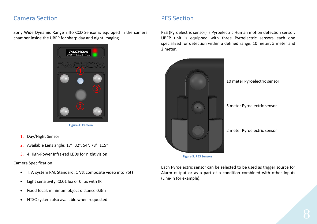## Camera Section

Sony Wide Dynamic Range Eiffo CCD Sensor is equipped in the camera chamber inside the UBEP for sharp day and night imaging.



**Figure 4: Camera**

- 1. Day/Night Sensor
- 2. Available Lens angle: 17°, 32°, 54°, 78°, 115°
- 3. 4 High-Power Infra-red LEDs for night vision

#### Camera Specification:

- T.V. system PAL Standard, 1 Vtt composite video into 75Ω
- $\bullet$ Light sensitivity <0.01 lux or 0 lux with IR
- $\bullet$ Fixed focal, minimum object distance 0.3m
- NTSC system also available when requested

## PES Section

PES (Pyroelectric sensor) is Pyroelectric Human motion detection sensor. UBEP unit is equipped with three Pyroelectric sensors each one specialized for detection within a defined range: 10 meter, 5 meter and 2 meter.



**Figure 5: PES Sensors**

Each Pyroelectric sensor can be selected to be used as trigger source for Alarm output or as a part of a condition combined with other inputs (Line-In for example).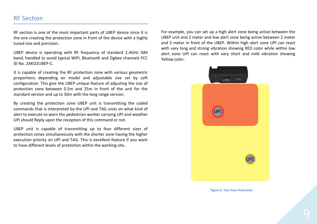## RF Section

RF section is one of the most important parts of UBEP device since it is the one creating the protection zone in front of the device with a highly tuned size and precision.

UBEP device is operating with RF frequency of standard 2.4GHz ISM band, handled to avoid typical WIFI, Bluetooth and Zigbee channels FCC ID No. 2AKO2UBEP-C.

It is capable of creating the RF protection zone with various geometric proportions depending on model and adjustable size set by soft configuration. This give the UBEP unique feature of adjusting the size of protection zone between 0.5m and 25m in front of the unit for the standard version and up to 50m with the long range version.

By creating the protection zone UBEP unit is transmitting the coded commands that is interpreted by the UPI and TAG units on what kind of alert to execute to warn the pedestrian worker carrying UPI and weather UPI should Reply upon the reception of this command or not.

UBEP unit is capable of transmitting up to four different sizes of protection zones simultaneously with the shorter zone having the higher execution priority on UPI and TAG. This is excellent feature if you want to have different levels of protection within the working site.

For example, you can set up a high alert zone being active between the UBEP unit and 2 meter and low alert zone being active between 2 meter and 5 meter in front of the UBEP. Within high alert zone UPI can react with vary long and strong vibration showing RED color while within low alert zone UPI can react with vary short and mild vibration showing Yellow color.



 **Figure 6: Two Zone Protection**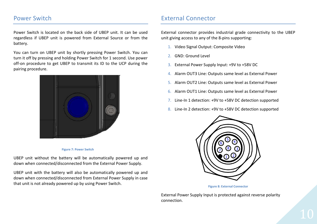## Power Switch

Power Switch is located on the back side of UBEP unit. It can be used regardless if UBEP unit is powered from External Source or from the battery.

You can turn on UBEP unit by shortly pressing Power Switch. You can turn it off by pressing and holding Power Switch for 1 second. Use power off-on procedure to get UBEP to transmit its ID to the UCP during the pairing procedure.



#### **Figure 7: Power Switch**

UBEP unit without the battery will be automatically powered up and down when connected/disconnected from the External Power Supply.

UBEP unit with the battery will also be automatically powered up and down when connected/disconnected from External Power Supply in case that unit is not already powered up by using Power Switch.

## External Connector

External connector provides industrial grade connectivity to the UBEP unit giving access to any of the 8-pins supporting:

- 1. Video Signal Output: Composite Video
- 2. GND: Ground Level
- 3. External Power Supply Input: +9V to +58V DC
- 4. Alarm OUT3 Line: Outputs same level as External Power
- 5. Alarm OUT2 Line: Outputs same level as External Power
- 6. Alarm OUT1 Line: Outputs same level as External Power
- 7. Line-In 1 detection: +9V to +58V DC detection supported
- 8. Line-In 2 detection: +9V to +58V DC detection supported



#### **Figure 8: External Connector**

External Power Supply Input is protected against reverse polarity connection.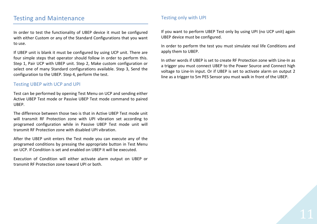## Testing and Maintenance

In order to test the functionality of UBEP device it must be configured with either Custom or any of the Standard Configurations that you want to use.

If UBEP unit is blank it must be configured by using UCP unit. There are four simple steps that operator should follow in order to perform this. Step 1, Pair UCP with UBEP unit. Step 2, Make custom configuration or select one of many Standard configurations available. Step 3, Send the configuration to the UBEP. Step 4, perform the test.

### Testing UBEP with UCP and UPI

Test can be performed by opening Test Menu on UCP and sending either Active UBEP Test mode or Passive UBEP Test mode command to paired UBEP.

The difference between those two is that in Active UBEP Test mode unit will transmit RF Protection zone with UPI vibration set according to programed configuration while in Passive UBEP Test mode unit will transmit RF Protection zone with disabled UPI vibration.

After the UBEP unit enters the Test mode you can execute any of the programed conditions by pressing the appropriate button in Test Menu on UCP. If Condition is set and enabled on UBEP it will be executed.

Execution of Condition will either activate alarm output on UBEP or transmit RF Protection zone toward UPI or both.

## Testing only with UPI

If you want to perform UBEP Test only by using UPI (no UCP unit) again UBEP device must be configured.

In order to perform the test you must simulate real life Conditions and apply them to UBEP.

In other words if UBEP is set to create RF Protection zone with Line-In as a trigger you must connect UBEP to the Power Source and Connect high voltage to Line-In input. Or if UBEP is set to activate alarm on output 2 line as a trigger to 5m PES Sensor you must walk in front of the UBEP.